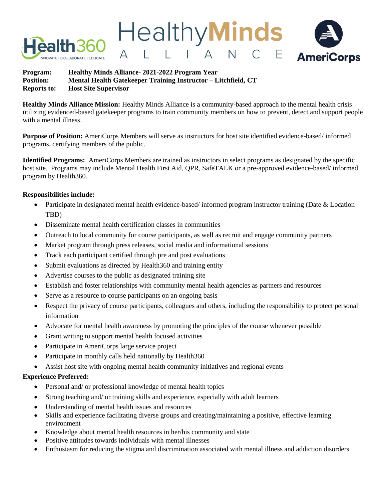



**Healthy Minds Alliance Mission:** Healthy Minds Alliance is a community-based approach to the mental health crisis utilizing evidenced-based gatekeeper programs to train community members on how to prevent, detect and support people with a mental illness.

**Healthy Minds** 

**AmeriCorps** 

**Purpose of Position:** AmeriCorps Members will serve as instructors for host site identified evidence-based/ informed programs, certifying members of the public.

**Identified Programs:** AmeriCorps Members are trained as instructors in select programs as designated by the specific host site. Programs may include Mental Health First Aid, QPR, SafeTALK or a pre-approved evidence-based/ informed program by Health360.

# **Responsibilities include:**

- Participate in designated mental health evidence-based/ informed program instructor training (Date & Location TBD)
- Disseminate mental health certification classes in communities
- Outreach to local community for course participants, as well as recruit and engage community partners
- Market program through press releases, social media and informational sessions
- Track each participant certified through pre and post evaluations
- Submit evaluations as directed by Health 360 and training entity
- Advertise courses to the public as designated training site
- Establish and foster relationships with community mental health agencies as partners and resources
- Serve as a resource to course participants on an ongoing basis
- Respect the privacy of course participants, colleagues and others, including the responsibility to protect personal information
- Advocate for mental health awareness by promoting the principles of the course whenever possible
- Grant writing to support mental health focused activities
- Participate in AmeriCorps large service project
- Participate in monthly calls held nationally by Health 360
- Assist host site with ongoing mental health community initiatives and regional events

### **Experience Preferred:**

- Personal and/ or professional knowledge of mental health topics
- Strong teaching and/ or training skills and experience, especially with adult learners
- Understanding of mental health issues and resources
- Skills and experience facilitating diverse groups and creating/maintaining a positive, effective learning environment
- Knowledge about mental health resources in her/his community and state
- Positive attitudes towards individuals with mental illnesses
- Enthusiasm for reducing the stigma and discrimination associated with mental illness and addiction disorders